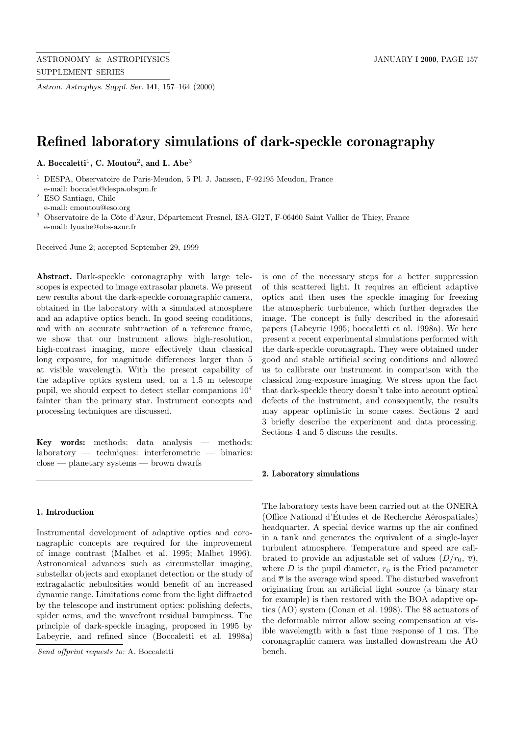*Astron. Astrophys. Suppl. Ser.* **141**, 157–164 (2000)

# **Refined laboratory simulations of dark-speckle coronagraphy**

**A. Boccaletti**<sup>1</sup>**, C. Moutou**<sup>2</sup>**, and L. Abe**<sup>3</sup>

<sup>1</sup> DESPA, Observatoire de Paris-Meudon, 5 Pl. J. Janssen, F-92195 Meudon, France e-mail: boccalet@despa.obspm.fr

<sup>2</sup> ESO Santiago, Chile e-mail: cmoutou@eso.org

<sup>3</sup> Observatoire de la Côte d'Azur, Département Fresnel, ISA-GI2T, F-06460 Saint Vallier de Thiey, France e-mail: lyuabe@obs-azur.fr

Received June 2; accepted September 29, 1999

**Abstract.** Dark-speckle coronagraphy with large telescopes is expected to image extrasolar planets. We present new results about the dark-speckle coronagraphic camera, obtained in the laboratory with a simulated atmosphere and an adaptive optics bench. In good seeing conditions, and with an accurate subtraction of a reference frame, we show that our instrument allows high-resolution, high-contrast imaging, more effectively than classical long exposure, for magnitude differences larger than 5 at visible wavelength. With the present capability of the adaptive optics system used, on a 1.5 m telescope pupil, we should expect to detect stellar companions 10<sup>4</sup> fainter than the primary star. Instrument concepts and processing techniques are discussed.

**Key words:** methods: data analysis — methods: laboratory — techniques: interferometric — binaries: close — planetary systems — brown dwarfs

# **1. Introduction**

Instrumental development of adaptive optics and coronagraphic concepts are required for the improvement of image contrast (Malbet et al. 1995; Malbet 1996). Astronomical advances such as circumstellar imaging, substellar objects and exoplanet detection or the study of extragalactic nebulosities would benefit of an increased dynamic range. Limitations come from the light diffracted by the telescope and instrument optics: polishing defects, spider arms, and the wavefront residual bumpiness. The principle of dark-speckle imaging, proposed in 1995 by Labeyrie, and refined since (Boccaletti et al. 1998a)

Send offprint requests to: A. Boccaletti

is one of the necessary steps for a better suppression of this scattered light. It requires an efficient adaptive optics and then uses the speckle imaging for freezing the atmospheric turbulence, which further degrades the image. The concept is fully described in the aforesaid papers (Labeyrie 1995; boccaletti et al. 1998a). We here present a recent experimental simulations performed with the dark-speckle coronagraph. They were obtained under good and stable artificial seeing conditions and allowed us to calibrate our instrument in comparison with the classical long-exposure imaging. We stress upon the fact that dark-speckle theory doesn't take into account optical defects of the instrument, and consequently, the results may appear optimistic in some cases. Sections 2 and 3 briefly describe the experiment and data processing. Sections 4 and 5 discuss the results.

## **2. Laboratory simulations**

The laboratory tests have been carried out at the ONERA (Office National d'Études et de Recherche Aérospatiales) headquarter. A special device warms up the air confined in a tank and generates the equivalent of a single-layer turbulent atmosphere. Temperature and speed are calibrated to provide an adjustable set of values  $(D/r_0, \overline{v})$ , where D is the pupil diameter,  $r_0$  is the Fried parameter and  $\overline{v}$  is the average wind speed. The disturbed wavefront originating from an artificial light source (a binary star for example) is then restored with the BOA adaptive optics (AO) system (Conan et al. 1998). The 88 actuators of the deformable mirror allow seeing compensation at visible wavelength with a fast time response of 1 ms. The coronagraphic camera was installed downstream the AO bench.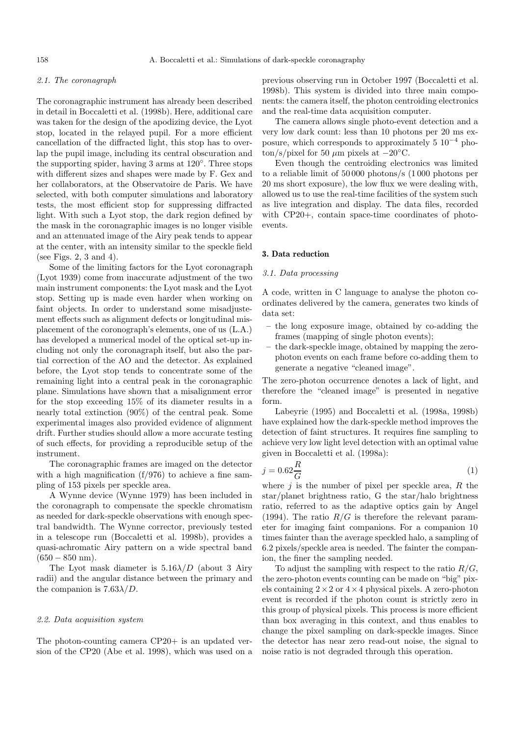## 2.1. The coronagraph

The coronagraphic instrument has already been described in detail in Boccaletti et al. (1998b). Here, additional care was taken for the design of the apodizing device, the Lyot stop, located in the relayed pupil. For a more efficient cancellation of the diffracted light, this stop has to overlap the pupil image, including its central obscuration and the supporting spider, having 3 arms at 120◦. Three stops with different sizes and shapes were made by F. Gex and her collaborators, at the Observatoire de Paris. We have selected, with both computer simulations and laboratory tests, the most efficient stop for suppressing diffracted light. With such a Lyot stop, the dark region defined by the mask in the coronagraphic images is no longer visible and an attenuated image of the Airy peak tends to appear at the center, with an intensity similar to the speckle field (see Figs. 2, 3 and 4).

Some of the limiting factors for the Lyot coronagraph (Lyot 1939) come from inaccurate adjustment of the two main instrument components: the Lyot mask and the Lyot stop. Setting up is made even harder when working on faint objects. In order to understand some misadjustement effects such as alignment defects or longitudinal misplacement of the coronograph's elements, one of us (L.A.) has developed a numerical model of the optical set-up including not only the coronagraph itself, but also the partial correction of the AO and the detector. As explained before, the Lyot stop tends to concentrate some of the remaining light into a central peak in the coronagraphic plane. Simulations have shown that a misalignment error for the stop exceeding 15% of its diameter results in a nearly total extinction (90%) of the central peak. Some experimental images also provided evidence of alignment drift. Further studies should allow a more accurate testing of such effects, for providing a reproducible setup of the instrument.

The coronagraphic frames are imaged on the detector with a high magnification  $(f/976)$  to achieve a fine sampling of 153 pixels per speckle area.

A Wynne device (Wynne 1979) has been included in the coronagraph to compensate the speckle chromatism as needed for dark-speckle observations with enough spectral bandwidth. The Wynne corrector, previously tested in a telescope run (Boccaletti et al. 1998b), provides a quasi-achromatic Airy pattern on a wide spectral band  $(650 - 850$  nm).

The Lyot mask diameter is  $5.16\lambda/D$  (about 3 Airy radii) and the angular distance between the primary and the companion is  $7.63\lambda/D$ .

#### 2.2. Data acquisition system

The photon-counting camera CP20+ is an updated version of the CP20 (Abe et al. 1998), which was used on a previous observing run in October 1997 (Boccaletti et al. 1998b). This system is divided into three main components: the camera itself, the photon centroiding electronics and the real-time data acquisition computer.

The camera allows single photo-event detection and a very low dark count: less than 10 photons per 20 ms exposure, which corresponds to approximately  $5 \times 10^{-4}$  photon/s/pixel for 50  $\mu$ m pixels at  $-20^{\circ}$ C.

Even though the centroiding electronics was limited to a reliable limit of 50 000 photons/s (1 000 photons per 20 ms short exposure), the low flux we were dealing with, allowed us to use the real-time facilities of the system such as live integration and display. The data files, recorded with CP20+, contain space-time coordinates of photoevents.

#### **3. Data reduction**

## 3.1. Data processing

A code, written in C language to analyse the photon coordinates delivered by the camera, generates two kinds of data set:

- **–** the long exposure image, obtained by co-adding the frames (mapping of single photon events);
- **–** the dark-speckle image, obtained by mapping the zerophoton events on each frame before co-adding them to generate a negative "cleaned image".

The zero-photon occurrence denotes a lack of light, and therefore the "cleaned image" is presented in negative form.

Labeyrie (1995) and Boccaletti et al. (1998a, 1998b) have explained how the dark-speckle method improves the detection of faint structures. It requires fine sampling to achieve very low light level detection with an optimal value given in Boccaletti et al. (1998a):

$$
j = 0.62 \frac{R}{G} \tag{1}
$$

where  $j$  is the number of pixel per speckle area,  $R$  the star/planet brightness ratio, G the star/halo brightness ratio, referred to as the adaptive optics gain by Angel (1994). The ratio  $R/G$  is therefore the relevant parameter for imaging faint companions. For a companion 10 times fainter than the average speckled halo, a sampling of 6.2 pixels/speckle area is needed. The fainter the companion, the finer the sampling needed.

To adjust the sampling with respect to the ratio  $R/G$ , the zero-photon events counting can be made on "big" pixels containing  $2 \times 2$  or  $4 \times 4$  physical pixels. A zero-photon event is recorded if the photon count is strictly zero in this group of physical pixels. This process is more efficient than box averaging in this context, and thus enables to change the pixel sampling on dark-speckle images. Since the detector has near zero read-out noise, the signal to noise ratio is not degraded through this operation.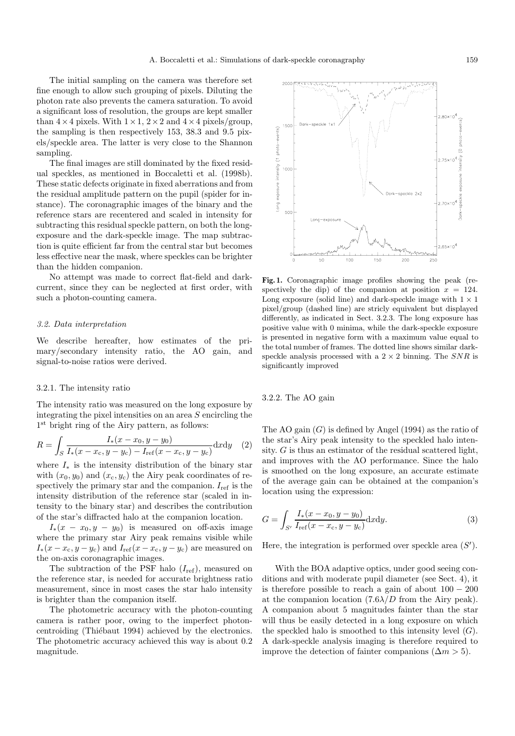The initial sampling on the camera was therefore set fine enough to allow such grouping of pixels. Diluting the photon rate also prevents the camera saturation. To avoid a significant loss of resolution, the groups are kept smaller than  $4 \times 4$  pixels. With  $1 \times 1$ ,  $2 \times 2$  and  $4 \times 4$  pixels/group, the sampling is then respectively 153, 38.3 and 9.5 pixels/speckle area. The latter is very close to the Shannon sampling.

The final images are still dominated by the fixed residual speckles, as mentioned in Boccaletti et al. (1998b). These static defects originate in fixed aberrations and from the residual amplitude pattern on the pupil (spider for instance). The coronagraphic images of the binary and the reference stars are recentered and scaled in intensity for subtracting this residual speckle pattern, on both the longexposure and the dark-speckle image. The map subtraction is quite efficient far from the central star but becomes less effective near the mask, where speckles can be brighter than the hidden companion.

No attempt was made to correct flat-field and darkcurrent, since they can be neglected at first order, with such a photon-counting camera.

## 3.2. Data interpretation

We describe hereafter, how estimates of the primary/secondary intensity ratio, the AO gain, and signal-to-noise ratios were derived.

### 3.2.1. The intensity ratio

The intensity ratio was measured on the long exposure by integrating the pixel intensities on an area S encircling the 1<sup>st</sup> bright ring of the Airy pattern, as follows:

$$
R = \int_{S} \frac{I_{*}(x - x_{0}, y - y_{0})}{I_{*}(x - x_{c}, y - y_{c}) - I_{\text{ref}}(x - x_{c}, y - y_{c})} dxdy \quad (2)
$$

where  $I_*$  is the intensity distribution of the binary star with  $(x_0, y_0)$  and  $(x_c, y_c)$  the Airy peak coordinates of respectively the primary star and the companion.  $I_{ref}$  is the intensity distribution of the reference star (scaled in intensity to the binary star) and describes the contribution of the star's diffracted halo at the companion location.

 $I_*(x - x_0, y - y_0)$  is measured on off-axis image where the primary star Airy peak remains visible while  $I_*(x-x_{\rm c}, y-y_{\rm c})$  and  $I_{\rm ref}(x-x_{\rm c}, y-y_{\rm c})$  are measured on the on-axis coronagraphic images.

The subtraction of the PSF halo  $(I_{ref})$ , measured on the reference star, is needed for accurate brightness ratio measurement, since in most cases the star halo intensity is brighter than the companion itself.

The photometric accuracy with the photon-counting camera is rather poor, owing to the imperfect photoncentroiding (Thiébaut 1994) achieved by the electronics. The photometric accuracy achieved this way is about 0.2 magnitude.

**Fig. 1.** Coronagraphic image profiles showing the peak (respectively the dip) of the companion at position  $x = 124$ . Long exposure (solid line) and dark-speckle image with  $1 \times 1$ pixel/group (dashed line) are stricly equivalent but displayed differently, as indicated in Sect. 3.2.3. The long exposure has positive value with 0 minima, while the dark-speckle exposure is presented in negative form with a maximum value equal to the total number of frames. The dotted line shows similar darkspeckle analysis processed with a  $2 \times 2$  binning. The SNR is significantly improved

3.2.2. The AO gain

The AO gain  $(G)$  is defined by Angel (1994) as the ratio of the star's Airy peak intensity to the speckled halo intensity.  $G$  is thus an estimator of the residual scattered light, and improves with the AO performance. Since the halo is smoothed on the long exposure, an accurate estimate of the average gain can be obtained at the companion's location using the expression:

$$
G = \int_{S'} \frac{I_*(x - x_0, y - y_0)}{I_{\text{ref}}(x - x_c, y - y_c)} dxdy.
$$
 (3)

Here, the integration is performed over speckle area  $(S')$ .

With the BOA adaptive optics, under good seeing conditions and with moderate pupil diameter (see Sect. 4), it is therefore possible to reach a gain of about  $100 - 200$ at the companion location  $(7.6\lambda/D)$  from the Airy peak). A companion about 5 magnitudes fainter than the star will thus be easily detected in a long exposure on which the speckled halo is smoothed to this intensity level  $(G)$ . A dark-speckle analysis imaging is therefore required to improve the detection of fainter companions  $(\Delta m > 5)$ .

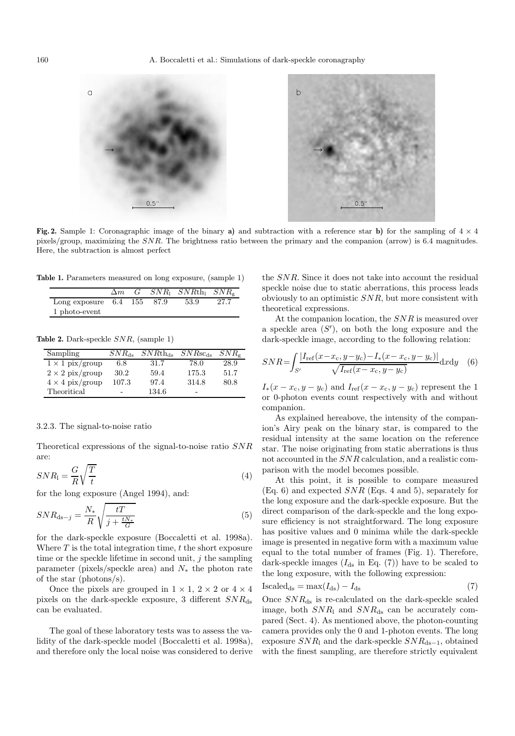

**Fig. 2.** Sample 1: Coronagraphic image of the binary **a**) and subtraction with a reference star **b**) for the sampling of  $4 \times 4$ pixels/group, maximizing the SNR. The brightness ratio between the primary and the companion (arrow) is 6.4 magnitudes. Here, the subtraction is almost perfect

**Table 1.** Parameters measured on long exposure, (sample 1)

|                              | $\Delta m$ |  | $G$ $SNR_1$ $SNRth_1$ $SNR_e$ |       |
|------------------------------|------------|--|-------------------------------|-------|
| Long exposure $6.4$ 155 87.9 |            |  | 53.9                          | -27.7 |
| 1 photo-event                |            |  |                               |       |

**Table 2.** Dark-speckle SNR, (sample 1)

| Sampling               | $SNR_{ds}$               | $SNRth_{ds}$ | $SNRsc_{ds}$             | $SNR_{\sigma}$ |
|------------------------|--------------------------|--------------|--------------------------|----------------|
| $1 \times 1$ pix/group | 6.8                      | 31.7         | 78.0                     | 28.9           |
| $2 \times 2$ pix/group | 30.2                     | 59.4         | 175.3                    | 51.7           |
| $4 \times 4$ pix/group | 107.3                    | 97.4         | 314.8                    | 80.8           |
| Theoritical            | $\overline{\phantom{0}}$ | 134.6        | $\overline{\phantom{0}}$ |                |

#### 3.2.3. The signal-to-noise ratio

Theoretical expressions of the signal-to-noise ratio SNR are:

$$
SNR_1 = \frac{G}{R}\sqrt{\frac{T}{t}}
$$
\n<sup>(4)</sup>

for the long exposure (Angel 1994), and:

$$
SNR_{\text{ds}-j} = \frac{N_*}{R} \sqrt{\frac{tT}{j + \frac{tN_*}{G}}} \tag{5}
$$

for the dark-speckle exposure (Boccaletti et al. 1998a). Where  $T$  is the total integration time,  $t$  the short exposure time or the speckle lifetime in second unit,  $j$  the sampling parameter (pixels/speckle area) and  $N_*$  the photon rate of the star (photons/s).

Once the pixels are grouped in  $1 \times 1$ ,  $2 \times 2$  or  $4 \times 4$ pixels on the dark-speckle exposure, 3 different  $SNR_{ds}$ can be evaluated.

The goal of these laboratory tests was to assess the validity of the dark-speckle model (Boccaletti et al. 1998a), and therefore only the local noise was considered to derive the SNR. Since it does not take into account the residual speckle noise due to static aberrations, this process leads obviously to an optimistic SNR, but more consistent with theoretical expressions.

At the companion location, the SNR is measured over a speckle area  $(S')$ , on both the long exposure and the dark-speckle image, according to the following relation:

$$
SNR = \int_{S'} \frac{|I_{\rm ref}(x - x_{\rm c}, y - y_{\rm c}) - I_{\ast}(x - x_{\rm c}, y - y_{\rm c})|}{\sqrt{I_{\rm ref}(x - x_{\rm c}, y - y_{\rm c})}} dx dy \quad (6)
$$

 $I_*(x-x_c, y-y_c)$  and  $I_{ref}(x-x_c, y-y_c)$  represent the 1 or 0-photon events count respectively with and without companion.

As explained hereabove, the intensity of the companion's Airy peak on the binary star, is compared to the residual intensity at the same location on the reference star. The noise originating from static aberrations is thus not accounted in the SNR calculation, and a realistic comparison with the model becomes possible.

At this point, it is possible to compare measured  $(Eq. 6)$  and expected  $SNR$  (Eqs. 4 and 5), separately for the long exposure and the dark-speckle exposure. But the direct comparison of the dark-speckle and the long exposure efficiency is not straightforward. The long exposure has positive values and 0 minima while the dark-speckle image is presented in negative form with a maximum value equal to the total number of frames (Fig. 1). Therefore, dark-speckle images  $(I_{ds}$  in Eq. (7)) have to be scaled to the long exposure, with the following expression:

$$
Iscaledds = max(Ids) - Ids
$$
 (7)

Once  $SNR_{ds}$  is re-calculated on the dark-speckle scaled image, both  $SNR_1$  and  $SNR_{ds}$  can be accurately compared (Sect. 4). As mentioned above, the photon-counting camera provides only the 0 and 1-photon events. The long exposure  $SNR_1$  and the dark-speckle  $SNR_{ds-1}$ , obtained with the finest sampling, are therefore strictly equivalent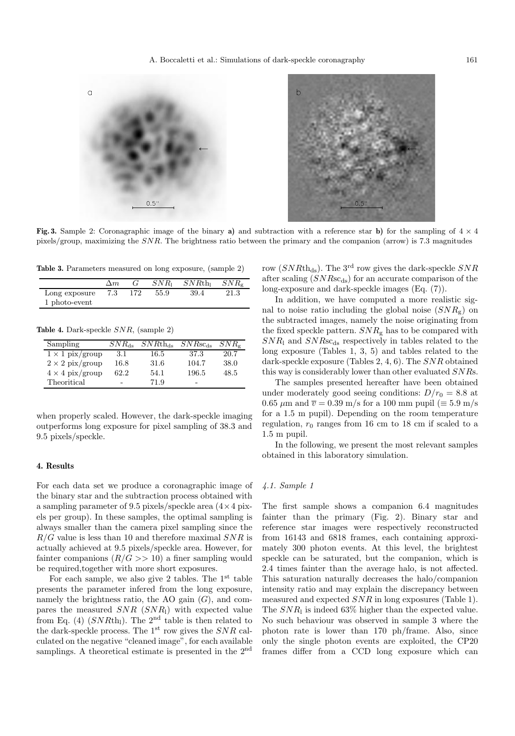



**Fig. 3.** Sample 2: Coronagraphic image of the binary **a**) and subtraction with a reference star **b**) for the sampling of  $4 \times 4$ pixels/group, maximizing the SNR. The brightness ratio between the primary and the companion (arrow) is 7.3 magnitudes

**Table 3.** Parameters measured on long exposure, (sample 2)

|               | $\Delta m$ |     | $SNR_1$ | $SNRth_1$ | $SNR_{\rm g}$ |
|---------------|------------|-----|---------|-----------|---------------|
| Long exposure | 7.3        | 172 | 55.9    | 39.4      | 21.3          |
| 1 photo-event |            |     |         |           |               |

**Table 4.** Dark-speckle SNR, (sample 2)

| Sampling               | $SNR_{ds}$ | $SNRth_{ds}$ | $SNRsc_{ds}$ | $SNR_{\rm g}$ |
|------------------------|------------|--------------|--------------|---------------|
| $1 \times 1$ pix/group | 3.1        | 16.5         | 37.3         | 20.7          |
| $2 \times 2$ pix/group | 16.8       | 31.6         | 104.7        | 38.0          |
| $4 \times 4$ pix/group | 62.2       | 54.1         | 196.5        | 48.5          |
| Theoritical            |            | 71.9         | -            |               |

when properly scaled. However, the dark-speckle imaging outperforms long exposure for pixel sampling of 38.3 and 9.5 pixels/speckle.

## **4. Results**

For each data set we produce a coronagraphic image of the binary star and the subtraction process obtained with a sampling parameter of 9.5 pixels/speckle area  $(4 \times 4)$  pixels per group). In these samples, the optimal sampling is always smaller than the camera pixel sampling since the  $R/G$  value is less than 10 and therefore maximal  $SNR$  is actually achieved at 9.5 pixels/speckle area. However, for fainter companions  $(R/G \gg 10)$  a finer sampling would be required,together with more short exposures.

For each sample, we also give 2 tables. The  $1<sup>st</sup>$  table presents the parameter infered from the long exposure, namely the brightness ratio, the AO gain  $(G)$ , and compares the measured  $SNR$  ( $SNR_1$ ) with expected value from Eq. (4)  $(SNRth_1)$ . The 2<sup>nd</sup> table is then related to the dark-speckle process. The  $1<sup>st</sup>$  row gives the  $SNR$  calculated on the negative "cleaned image", for each available samplings. A theoretical estimate is presented in the 2<sup>nd</sup>

row ( $SNRth_{ds}$ ). The 3<sup>rd</sup> row gives the dark-speckle  $SNR$ after scaling  $(SNRs_{\text{cds}})$  for an accurate comparison of the long-exposure and dark-speckle images (Eq. (7)).

In addition, we have computed a more realistic signal to noise ratio including the global noise  $(SNR_{\rm g})$  on the subtracted images, namely the noise originating from the fixed speckle pattern.  $SNR<sub>g</sub>$  has to be compared with  $SNR_1$  and  $SNRsc_{ds}$  respectively in tables related to the long exposure (Tables 1, 3, 5) and tables related to the dark-speckle exposure (Tables 2, 4, 6). The SNR obtained this way is considerably lower than other evaluated SNRs.

The samples presented hereafter have been obtained under moderately good seeing conditions:  $D/r_0 = 8.8$  at 0.65  $\mu$ m and  $\overline{v} = 0.39$  m/s for a 100 mm pupil ( $\equiv 5.9$  m/s for a 1.5 m pupil). Depending on the room temperature regulation,  $r_0$  ranges from 16 cm to 18 cm if scaled to a 1.5 m pupil.

In the following, we present the most relevant samples obtained in this laboratory simulation.

# 4.1. Sample 1

The first sample shows a companion 6.4 magnitudes fainter than the primary (Fig. 2). Binary star and reference star images were respectively reconstructed from 16143 and 6818 frames, each containing approximately 300 photon events. At this level, the brightest speckle can be saturated, but the companion, which is 2.4 times fainter than the average halo, is not affected. This saturation naturally decreases the halo/companion intensity ratio and may explain the discrepancy between measured and expected SNR in long exposures (Table 1). The  $SNR_1$  is indeed 63% higher than the expected value. No such behaviour was observed in sample 3 where the photon rate is lower than 170 ph/frame. Also, since only the single photon events are exploited, the CP20 frames differ from a CCD long exposure which can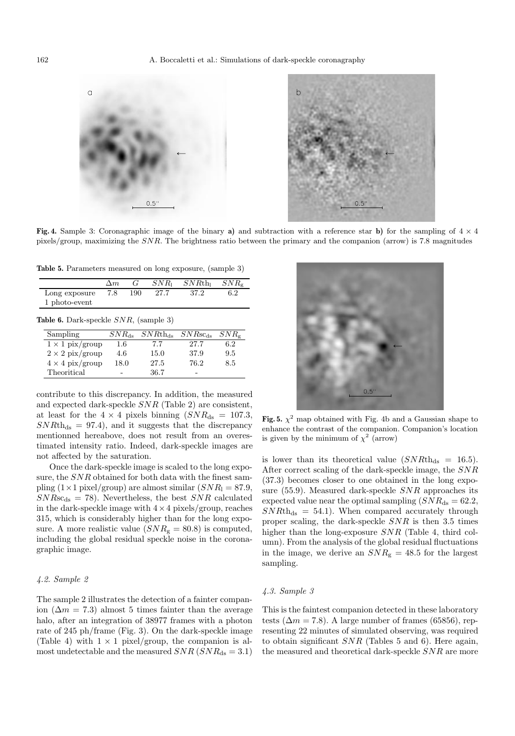

**Fig. 4.** Sample 3: Coronagraphic image of the binary **a**) and subtraction with a reference star **b**) for the sampling of  $4 \times 4$ pixels/group, maximizing the SNR. The brightness ratio between the primary and the companion (arrow) is 7.8 magnitudes

**Table 5.** Parameters measured on long exposure, (sample 3)

|                                                 | G<br>$\Delta m$   | $SNR_1$      | $SNRth_1$    | $SNR_{\rm g}$ |
|-------------------------------------------------|-------------------|--------------|--------------|---------------|
| Long exposure                                   | 7.8<br>190        | 27.7         | 37.2         | 6.2           |
| 1 photo-event                                   |                   |              |              |               |
|                                                 |                   |              |              |               |
| <b>Table 6.</b> Dark-speckle $SNR$ , (sample 3) |                   |              |              |               |
| Sampling                                        | $SNR_{\text{ds}}$ | $SNRth_{ds}$ | $SNRsc_{ds}$ | $SNR_{\rm g}$ |
| $1 \times 1$ pix/group                          | 1.6               | 7.7          | 27.7         | 6.2           |
| $2 \times 2$ pix/group                          | 4.6               | 15.0         | 37.9         | 9.5           |
| $4 \times 4$ pix/group                          | 18.0              | 27.5         | 76.2         | 8.5           |

contribute to this discrepancy. In addition, the measured and expected dark-speckle SNR (Table 2) are consistent, at least for the  $4 \times 4$  pixels binning  $(SNR_{ds} = 107.3,$  $SNRth_{ds} = 97.4$ , and it suggests that the discrepancy mentionned hereabove, does not result from an overestimated intensity ratio. Indeed, dark-speckle images are not affected by the saturation.

Once the dark-speckle image is scaled to the long exposure, the SNR obtained for both data with the finest sampling  $(1 \times 1$  pixel/group) are almost similar  $(SNR_1 = 87.9,$  $SNRsc_{ds} = 78$ . Nevertheless, the best  $SNR$  calculated in the dark-speckle image with  $4 \times 4$  pixels/group, reaches 315, which is considerably higher than for the long exposure. A more realistic value  $(SNR_g = 80.8)$  is computed, including the global residual speckle noise in the coronagraphic image.

# 4.2. Sample 2

The sample 2 illustrates the detection of a fainter companion ( $\Delta m = 7.3$ ) almost 5 times fainter than the average halo, after an integration of 38977 frames with a photon rate of 245 ph/frame (Fig. 3). On the dark-speckle image (Table 4) with  $1 \times 1$  pixel/group, the companion is almost undetectable and the measured  $SNR$  ( $SNR_{ds} = 3.1$ )



**Fig. 5.**  $\chi^2$  map obtained with Fig. 4b and a Gaussian shape to enhance the contrast of the companion. Companion's location is given by the minimum of  $\chi^2$  (arrow)

is lower than its theoretical value  $(SNRth_{ds} = 16.5)$ . After correct scaling of the dark-speckle image, the SNR (37.3) becomes closer to one obtained in the long exposure (55.9). Measured dark-speckle SNR approaches its expected value near the optimal sampling  $(SNR_{ds} = 62.2,$  $SNRth_{ds} = 54.1$ . When compared accurately through proper scaling, the dark-speckle SNR is then 3.5 times higher than the long-exposure  $SNR$  (Table 4, third column). From the analysis of the global residual fluctuations in the image, we derive an  $SNR<sub>g</sub> = 48.5$  for the largest sampling.

# 4.3. Sample 3

This is the faintest companion detected in these laboratory tests ( $\Delta m = 7.8$ ). A large number of frames (65856), representing 22 minutes of simulated observing, was required to obtain significant  $SNR$  (Tables 5 and 6). Here again, the measured and theoretical dark-speckle SNR are more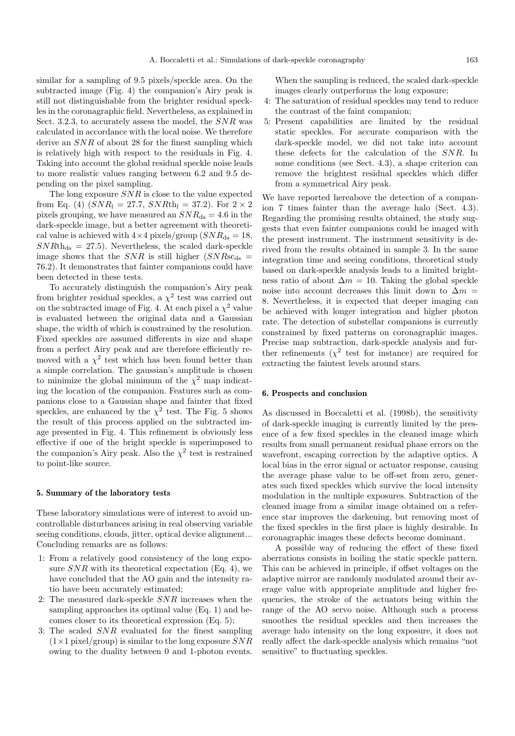similar for a sampling of 9.5 pixels/speckle area. On the subtracted image (Fig. 4) the companion's Airy peak is still not distinguishable from the brighter residual speckles in the coronagraphic field. Nevertheless, as explained in Sect. 3.2.3, to accurately assess the model, the SNR was calculated in accordance with the local noise. We therefore derive an SNR of about 28 for the finest sampling which is relatively high with respect to the residuals in Fig. 4. Taking into account the global residual speckle noise leads to more realistic values ranging between 6.2 and 9.5 depending on the pixel sampling.

The long exposure  $SNR$  is close to the value expected from Eq. (4)  $(SNR_1 = 27.7, SNRth_1 = 37.2)$ . For  $2 \times 2$ pixels grouping, we have measured an  $SNR_{ds} = 4.6$  in the dark-speckle image, but a better agreement with theoretical value is achieved with  $4\times4$  pixels/group  $(SNR_{ds} = 18,$  $SNRth_{ds} = 27.5$ . Nevertheless, the scaled dark-speckle image shows that the  $SNR$  is still higher  $(SNRs_{\text{cds}} =$ 76.2). It demonstrates that fainter companions could have been detected in these tests.

To accurately distinguish the companion's Airy peak from brighter residual speckles, a  $\chi^2$  test was carried out on the subtracted image of Fig. 4. At each pixel a  $\chi^2$  value is evaluated between the original data and a Gaussian shape, the width of which is constrained by the resolution. Fixed speckles are assumed differents in size and shape from a perfect Airy peak and are therefore efficiently removed with a  $\chi^2$  test which has been found better than a simple correlation. The gaussian's amplitude is chosen to minimize the global minimum of the  $\chi^2$  map indicating the location of the companion. Features such as companions close to a Gaussian shape and fainter that fixed speckles, are enhanced by the  $\chi^2$  test. The Fig. 5 shows the result of this process applied on the subtracted image presented in Fig. 4. This refinement is obviously less effective if one of the bright speckle is superimposed to the companion's Airy peak. Also the  $\chi^2$  test is restrained to point-like source.

## **5. Summary of the laboratory tests**

These laboratory simulations were of interest to avoid uncontrollable disturbances arising in real observing variable seeing conditions, clouds, jitter, optical device alignment... Concluding remarks are as follows:

- 1: From a relatively good consistency of the long exposure  $SNR$  with its theoretical expectation (Eq. 4), we have concluded that the AO gain and the intensity ratio have been accurately estimated;
- 2: The measured dark-speckle SNR increases when the sampling approaches its optimal value (Eq. 1) and becomes closer to its theoretical expression (Eq. 5);
- 3: The scaled SNR evaluated for the finest sampling  $(1\times1$  pixel/group) is similar to the long exposure  $SNR$ owing to the duality between 0 and 1-photon events.

When the sampling is reduced, the scaled dark-speckle images clearly outperforms the long exposure;

- 4: The saturation of residual speckles may tend to reduce the contrast of the faint companion;
- 5: Present capabilities are limited by the residual static speckles. For accurate comparison with the dark-speckle model, we did not take into account these defects for the calculation of the SNR. In some conditions (see Sect. 4.3), a shape criterion can remove the brightest residual speckles which differ from a symmetrical Airy peak.

We have reported hereabove the detection of a companion 7 times fainter than the average halo (Sect. 4.3). Regarding the promising results obtained, the study suggests that even fainter companions could be imaged with the present instrument. The instrument sensitivity is derived from the results obtained in sample 3. In the same integration time and seeing conditions, theoretical study based on dark-speckle analysis leads to a limited brightness ratio of about  $\Delta m = 10$ . Taking the global speckle noise into account decreases this limit down to  $\Delta m =$ 8. Nevertheless, it is expected that deeper imaging can be achieved with longer integration and higher photon rate. The detection of substellar companions is currently constrained by fixed patterns on coronagraphic images. Precise map subtraction, dark-speckle analysis and further refinements  $(\chi^2$  test for instance) are required for extracting the faintest levels around stars.

# **6. Prospects and conclusion**

As discussed in Boccaletti et al. (1998b), the sensitivity of dark-speckle imaging is currently limited by the presence of a few fixed speckles in the cleaned image which results from small permanent residual phase errors on the wavefront, escaping correction by the adaptive optics. A local bias in the error signal or actuator response, causing the average phase value to be off-set from zero, generates such fixed speckles which survive the local intensity modulation in the multiple exposures. Subtraction of the cleaned image from a similar image obtained on a reference star improves the darkening, but removing most of the fixed speckles in the first place is highly desirable. In coronagraphic images these defects become dominant.

A possible way of reducing the effect of these fixed aberrations consists in boiling the static speckle pattern. This can be achieved in principle, if offset voltages on the adaptive mirror are randomly modulated around their average value with appropriate amplitude and higher frequencies, the stroke of the actuators being within the range of the AO servo noise. Although such a process smoothes the residual speckles and then increases the average halo intensity on the long exposure, it does not really affect the dark-speckle analysis which remains "not sensitive" to fluctuating speckles.